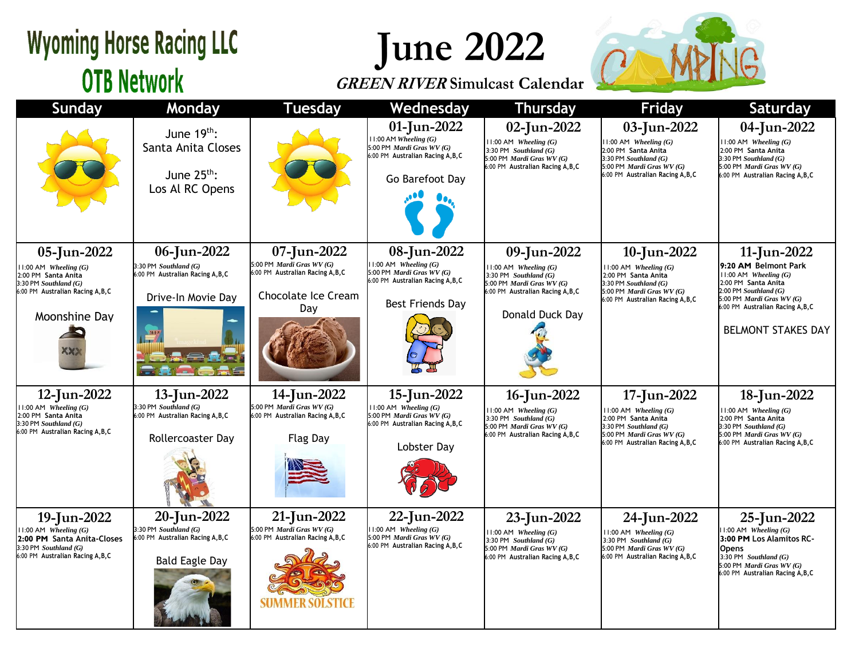## **Wyoming Horse Racing LLC OTB Network**

# **June 2022**

### **GREEN RIVER Simulcast Calendar**



| Sunday                                                                                                                                             | Monday                                                                                             | <b>Tuesday</b>                                                                                              | Wednesday                                                                                                                      | <b>Thursday</b>                                                                                                                                          | <b>Friday</b>                                                                                                                                                         | Saturday                                                                                                                                                                                                            |
|----------------------------------------------------------------------------------------------------------------------------------------------------|----------------------------------------------------------------------------------------------------|-------------------------------------------------------------------------------------------------------------|--------------------------------------------------------------------------------------------------------------------------------|----------------------------------------------------------------------------------------------------------------------------------------------------------|-----------------------------------------------------------------------------------------------------------------------------------------------------------------------|---------------------------------------------------------------------------------------------------------------------------------------------------------------------------------------------------------------------|
|                                                                                                                                                    | June $19th$ :<br>Santa Anita Closes<br>June $25th$ :<br>Los Al RC Opens                            |                                                                                                             | 01-Jun-2022<br>$11:00$ AM Wheeling $(G)$<br>5:00 PM Mardi Gras WV (G)<br>6:00 PM Australian Racing A, B, C<br>Go Barefoot Day  | 02-Jun-2022<br>$11:00$ AM Wheeling $(G)$<br>3:30 PM Southland $(G)$<br>5:00 PM Mardi Gras WV (G)<br>6:00 PM Australian Racing A, B, C                    | 03-Jun-2022<br>$11:00$ AM Wheeling $(G)$<br>2:00 PM Santa Anita<br>3:30 PM Southland (G)<br>5:00 PM <i>Mardi Gras WV</i> $(G)$<br>6:00 PM Australian Racing A, B, C   | 04-Jun-2022<br>$11:00$ AM Wheeling $(G)$<br>2:00 PM Santa Anita<br>$3:30$ PM Southland $(G)$<br>5:00 PM <i>Mardi Gras WV</i> $(G)$<br>6:00 PM Australian Racing A, B, C                                             |
| 05-Jun-2022<br>$11:00$ AM Wheeling $(G)$<br>2:00 PM Santa Anita<br>$3:30$ PM Southland $(G)$<br>6:00 PM Australian Racing A, B, C<br>Moonshine Day | 06-Jun-2022<br>3:30 PM Southland (G)<br>6:00 PM Australian Racing A, B, C<br>Drive-In Movie Day    | 07-Jun-2022<br>5:00 PM Mardi Gras WV (G)<br>6:00 PM Australian Racing A, B, C<br>Chocolate Ice Cream<br>Day | 08-Jun-2022<br>$11:00$ AM Wheeling $(G)$<br>5:00 PM Mardi Gras WV (G)<br>6:00 PM Australian Racing A, B, C<br>Best Friends Day | 09-Jun-2022<br>$11:00$ AM Wheeling $(G)$<br>3:30 PM Southland $(G)$<br>5:00 PM Mardi Gras WV (G)<br>6:00 PM Australian Racing A, B, C<br>Donald Duck Day | 10-Jun-2022<br>$11:00$ AM Wheeling $(G)$<br>2:00 PM Santa Anita<br>3:30 PM Southland $(G)$<br>5:00 PM <i>Mardi Gras WV</i> $(G)$<br>6:00 PM Australian Racing A, B, C | 11-Jun-2022<br>9:20 AM Belmont Park<br>$11:00$ AM Wheeling $(G)$<br>2:00 PM Santa Anita<br>$2:00$ PM Southland $(G)$<br>5:00 PM Mardi Gras WV (G)<br>6:00 PM Australian Racing A, B, C<br><b>BELMONT STAKES DAY</b> |
| 12-Jun-2022<br>$11:00$ AM Wheeling $(G)$<br>2:00 PM Santa Anita<br>$3:30$ PM Southland $(G)$<br>6:00 PM Australian Racing A, B, C                  | 13-Jun-2022<br>3:30 PM Southland (G)<br>6:00 PM Australian Racing A, B, C<br>Rollercoaster Day     | 14-Jun-2022<br>5:00 PM Mardi Gras WV (G)<br>6:00 PM Australian Racing A, B, C<br><b>Flag Day</b>            | 15-Jun-2022<br>$11:00$ AM Wheeling $(G)$<br>5:00 PM Mardi Gras WV (G)<br>6:00 PM Australian Racing A, B, C<br>Lobster Day      | 16-Jun-2022<br>$11:00$ AM Wheeling $(G)$<br>3:30 PM Southland $(G)$<br>5:00 PM Mardi Gras WV (G)<br>6:00 PM Australian Racing A, B, C                    | 17-Jun-2022<br>$11:00$ AM Wheeling $(G)$<br>2:00 PM Santa Anita<br>3:30 PM Southland (G)<br>5:00 PM <i>Mardi Gras WV</i> $(G)$<br>6:00 PM Australian Racing A, B, C   | 18-Jun-2022<br>$11:00$ AM Wheeling $(G)$<br>2:00 PM Santa Anita<br>3:30 PM Southland (G)<br>5:00 PM Mardi Gras WV (G)<br>6:00 PM Australian Racing A, B, C                                                          |
| 19-Jun-2022<br>$11:00$ AM Wheeling $(G)$<br>2:00 PM Santa Anita-Closes<br>3:30 PM Southland (G)<br>6:00 PM Australian Racing A, B, C               | 20-Jun-2022<br>3:30 PM Southland (G)<br>6:00 PM Australian Racing A, B, C<br><b>Bald Eagle Day</b> | 21-Jun-2022<br>5:00 PM Mardi Gras WV (G)<br>6:00 PM Australian Racing A, B, C<br>SUMMER SOLSTICE            | 22-Jun-2022<br>$11:00$ AM Wheeling $(G)$<br>5:00 PM Mardi Gras WV (G)<br>6:00 PM Australian Racing A, B, C                     | 23-Jun-2022<br>$11:00$ AM Wheeling $(G)$<br>$3:30$ PM Southland $(G)$<br>5:00 PM Mardi Gras WV (G)<br>6:00 PM Australian Racing A, B, C                  | 24-Jun-2022<br>$11:00$ AM Wheeling $(G)$<br>3:30 PM Southland $(G)$<br>5:00 PM <i>Mardi Gras WV</i> $(G)$<br>6:00 PM Australian Racing A, B, C                        | 25-Jun-2022<br>$11:00$ AM Wheeling $(G)$<br>3:00 PM Los Alamitos RC-<br>Opens<br>3:30 PM Southland $(G)$<br>5:00 PM Mardi Gras WV (G)<br>6:00 PM Australian Racing A, B, C                                          |